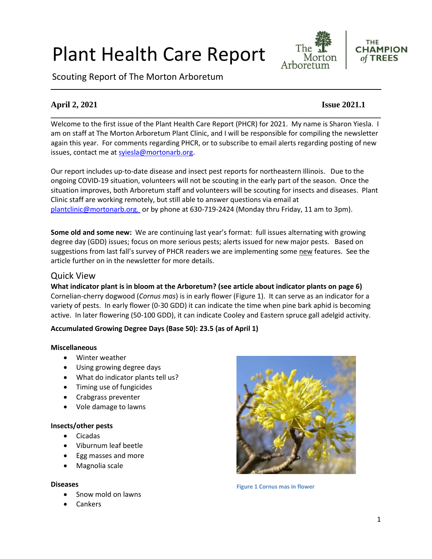# Plant Health Care Report

Scouting Report of The Morton Arboretum





#### **April 2, 2021 Issue 2021.1**

Welcome to the first issue of the Plant Health Care Report (PHCR) for 2021. My name is Sharon Yiesla. I am on staff at The Morton Arboretum Plant Clinic, and I will be responsible for compiling the newsletter again this year. For comments regarding PHCR, or to subscribe to email alerts regarding posting of new issues, contact me at sviesla@mortonarb.org.

**\_\_\_\_\_\_\_\_\_\_\_\_\_\_\_\_\_\_\_\_\_\_\_\_\_\_\_\_\_\_\_\_\_\_\_\_\_\_\_\_\_\_\_\_\_\_\_\_\_\_\_\_\_\_\_\_\_\_\_\_\_\_\_\_\_\_\_\_\_\_\_\_\_\_\_\_\_\_**

Our report includes up-to-date disease and insect pest reports for northeastern Illinois. Due to the ongoing COVID-19 situation, volunteers will not be scouting in the early part of the season. Once the situation improves, both Arboretum staff and volunteers will be scouting for insects and diseases. Plant Clinic staff are working remotely, but still able to answer questions via email at [plantclinic@mortonarb.org.](mailto:plantclinic@mortonarb.org) or by phone at 630-719-2424 (Monday thru Friday, 11 am to 3pm).

**Some old and some new:** We are continuing last year's format: full issues alternating with growing degree day (GDD) issues; focus on more serious pests; alerts issued for new major pests. Based on suggestions from last fall's survey of PHCR readers we are implementing some new features. See the article further on in the newsletter for more details.

#### Quick View

**What indicator plant is in bloom at the Arboretum? (see article about indicator plants on page 6)** Cornelian-cherry dogwood (*Cornus mas*) is in early flower (Figure 1). It can serve as an indicator for a variety of pests. In early flower (0-30 GDD) it can indicate the time when pine bark aphid is becoming active. In later flowering (50-100 GDD), it can indicate Cooley and Eastern spruce gall adelgid activity.

#### **Accumulated Growing Degree Days (Base 50): 23.5 (as of April 1)**

#### **Miscellaneous**

- Winter weather
- Using growing degree days
- What do indicator plants tell us?
- Timing use of fungicides
- Crabgrass preventer
- Vole damage to lawns

#### **Insects/other pests**

- Cicadas
- Viburnum leaf beetle
- Egg masses and more
- Magnolia scale

#### **Diseases**

- Snow mold on lawns
- **Cankers**



**Figure 1 Cornus mas in flower**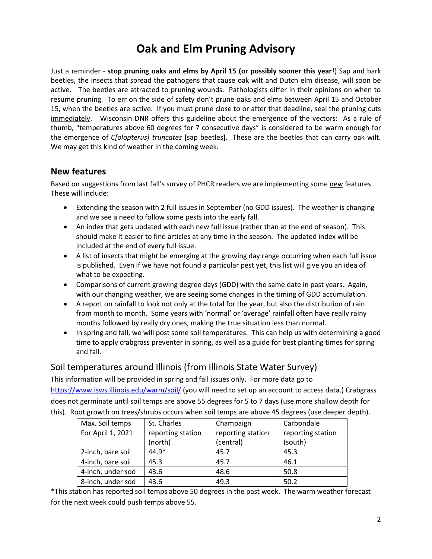## **Oak and Elm Pruning Advisory**

Just a reminder - **stop pruning oaks and elms by April 15 (or possibly sooner this year**!) Sap and bark beetles, the insects that spread the pathogens that cause oak wilt and Dutch elm disease, will soon be active. The beetles are attracted to pruning wounds. Pathologists differ in their opinions on when to resume pruning. To err on the side of safety don't prune oaks and elms between April 15 and October 15, when the beetles are active. If you must prune close to or after that deadline, seal the pruning cuts immediately. Wisconsin DNR offers this guideline about the emergence of the vectors: As a rule of thumb, "temperatures above 60 degrees for 7 consecutive days" is considered to be warm enough for the emergence of *C[olopterus] truncates* [sap beetles]. These are the beetles that can carry oak wilt. We may get this kind of weather in the coming week.

#### **New features**

Based on suggestions from last fall's survey of PHCR readers we are implementing some new features. These will include:

- Extending the season with 2 full issues in September (no GDD issues). The weather is changing and we see a need to follow some pests into the early fall.
- An index that gets updated with each new full issue (rather than at the end of season). This should make It easier to find articles at any time in the season. The updated index will be included at the end of every full issue.
- A list of insects that might be emerging at the growing day range occurring when each full issue is published. Even if we have not found a particular pest yet, this list will give you an idea of what to be expecting.
- Comparisons of current growing degree days (GDD) with the same date in past years. Again, with our changing weather, we are seeing some changes in the timing of GDD accumulation.
- A report on rainfall to look not only at the total for the year, but also the distribution of rain from month to month. Some years with 'normal' or 'average' rainfall often have really rainy months followed by really dry ones, making the true situation less than normal.
- In spring and fall, we will post some soil temperatures. This can help us with determining a good time to apply crabgrass preventer in spring, as well as a guide for best planting times for spring and fall.

#### Soil temperatures around Illinois (from Illinois State Water Survey)

This information will be provided in spring and fall issues only. For more data go to <https://www.isws.illinois.edu/warm/soil/> (you will need to set up an account to access data.) Crabgrass does not germinate until soil temps are above 55 degrees for 5 to 7 days (use more shallow depth for this). Root growth on trees/shrubs occurs when soil temps are above 45 degrees (use deeper depth).

| Max. Soil temps   | St. Charles       | Champaign         | Carbondale        |
|-------------------|-------------------|-------------------|-------------------|
| For April 1, 2021 | reporting station | reporting station | reporting station |
|                   | (north)           | (central)         | (south)           |
| 2-inch, bare soil | $44.9*$           | 45.7              | 45.3              |
| 4-inch, bare soil | 45.3              | 45.7              | 46.1              |
| 4-inch, under sod | 43.6              | 48.6              | 50.8              |
| 8-inch, under sod | 43.6              | 49.3              | 50.2              |

\*This station has reported soil temps above 50 degrees in the past week. The warm weather forecast for the next week could push temps above 55.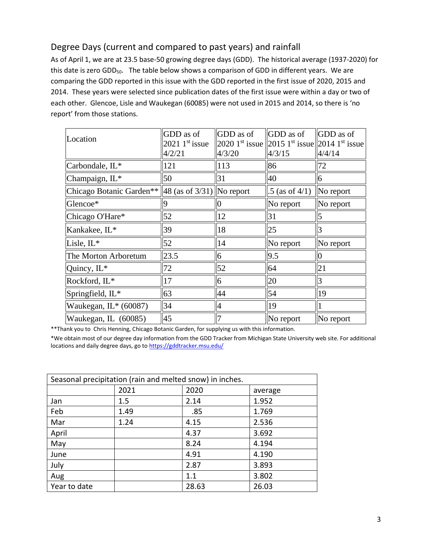### Degree Days (current and compared to past years) and rainfall

As of April 1, we are at 23.5 base-50 growing degree days (GDD). The historical average (1937-2020) for this date is zero GDD<sub>50</sub>. The table below shows a comparison of GDD in different years. We are comparing the GDD reported in this issue with the GDD reported in the first issue of 2020, 2015 and 2014. These years were selected since publication dates of the first issue were within a day or two of each other. Glencoe, Lisle and Waukegan (60085) were not used in 2015 and 2014, so there is 'no report' from those stations.

| Location                                               | GDD as of<br>$2021$ 1 <sup>st</sup> issue<br>4/2/21 | GDD as of<br>4/3/20 | <b>GDD</b> as of<br>2020 1 <sup>st</sup> issue 2015 1 <sup>st</sup> issue 2014 1 <sup>st</sup> issue<br>4/3/15 | <b>GDD</b> as of<br>4/4/14 |
|--------------------------------------------------------|-----------------------------------------------------|---------------------|----------------------------------------------------------------------------------------------------------------|----------------------------|
| Carbondale, IL*                                        | 121                                                 | 113                 | 86                                                                                                             | 72                         |
| Champaign, IL*                                         | 50                                                  | 31                  | 40                                                                                                             | 6                          |
| Chicago Botanic Garden** $\ 48$ (as of 3/31) No report |                                                     |                     | $.5$ (as of 4/1)                                                                                               | No report                  |
| Glencoe*                                               | <b>Q</b>                                            |                     | No report                                                                                                      | No report                  |
| Chicago O'Hare*                                        | 52                                                  | 12                  | 31                                                                                                             | 5                          |
| Kankakee, IL*                                          | 39                                                  | 18                  | 25                                                                                                             | 3                          |
| Lisle, IL*                                             | 52                                                  | 14                  | $\ $ No report                                                                                                 | No report                  |
| The Morton Arboretum                                   | 23.5                                                | 6                   | 9.5                                                                                                            | Ю                          |
| Quincy, IL*                                            | 72                                                  | 52                  | 64                                                                                                             | 21                         |
| Rockford, IL*                                          | 17                                                  | 6                   | 20                                                                                                             | 3                          |
| Springfield, IL*                                       | 63                                                  | 44                  | 54                                                                                                             | 19                         |
| Waukegan, $IL*(60087)$                                 | 34                                                  | 4                   | <sup>19</sup>                                                                                                  |                            |
| Waukegan, IL (60085)                                   | 45                                                  | 7                   | $\ $ No report                                                                                                 | No report                  |

\*\*Thank you to Chris Henning, Chicago Botanic Garden, for supplying us with this information.

\*We obtain most of our degree day information from the GDD Tracker from Michigan State University web site. For additional locations and daily degree days, go to <https://gddtracker.msu.edu/>

| Seasonal precipitation (rain and melted snow) in inches. |      |       |         |
|----------------------------------------------------------|------|-------|---------|
|                                                          | 2021 | 2020  | average |
| Jan                                                      | 1.5  | 2.14  | 1.952   |
| Feb                                                      | 1.49 | .85   | 1.769   |
| Mar                                                      | 1.24 | 4.15  | 2.536   |
| April                                                    |      | 4.37  | 3.692   |
| May                                                      |      | 8.24  | 4.194   |
| June                                                     |      | 4.91  | 4.190   |
| July                                                     |      | 2.87  | 3.893   |
| Aug                                                      |      | 1.1   | 3.802   |
| Year to date                                             |      | 28.63 | 26.03   |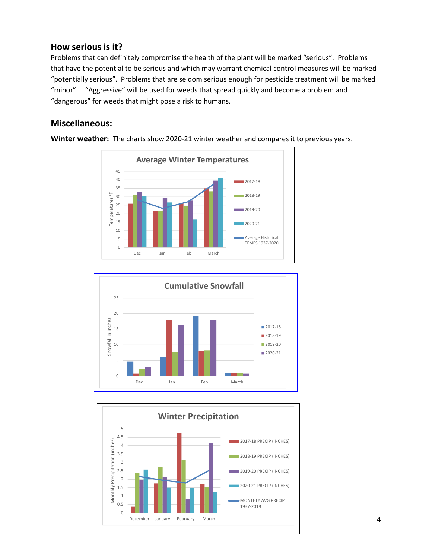#### **How serious is it?**

Problems that can definitely compromise the health of the plant will be marked "serious".Problems that have the potential to be serious and which may warrant chemical control measures will be marked "potentially serious". Problems that are seldom serious enough for pesticide treatment will be marked "minor". "Aggressive" will be used for weeds that spread quickly and become a problem and "dangerous" for weeds that might pose a risk to humans.

#### **Miscellaneous:**







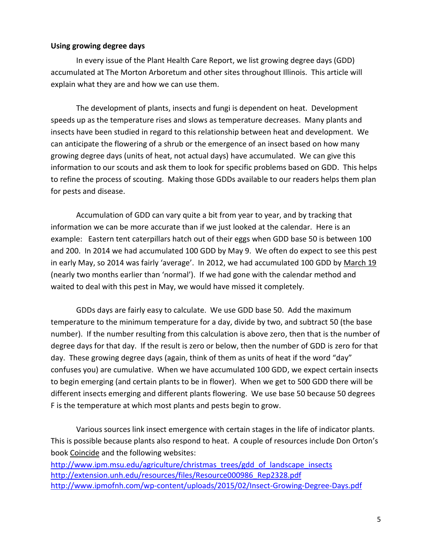#### **Using growing degree days**

In every issue of the Plant Health Care Report, we list growing degree days (GDD) accumulated at The Morton Arboretum and other sites throughout Illinois. This article will explain what they are and how we can use them.

The development of plants, insects and fungi is dependent on heat. Development speeds up as the temperature rises and slows as temperature decreases. Many plants and insects have been studied in regard to this relationship between heat and development. We can anticipate the flowering of a shrub or the emergence of an insect based on how many growing degree days (units of heat, not actual days) have accumulated. We can give this information to our scouts and ask them to look for specific problems based on GDD. This helps to refine the process of scouting. Making those GDDs available to our readers helps them plan for pests and disease.

Accumulation of GDD can vary quite a bit from year to year, and by tracking that information we can be more accurate than if we just looked at the calendar. Here is an example: Eastern tent caterpillars hatch out of their eggs when GDD base 50 is between 100 and 200. In 2014 we had accumulated 100 GDD by May 9. We often do expect to see this pest in early May, so 2014 was fairly 'average'. In 2012, we had accumulated 100 GDD by March 19 (nearly two months earlier than 'normal'). If we had gone with the calendar method and waited to deal with this pest in May, we would have missed it completely.

GDDs days are fairly easy to calculate. We use GDD base 50. Add the maximum temperature to the minimum temperature for a day, divide by two, and subtract 50 (the base number). If the number resulting from this calculation is above zero, then that is the number of degree days for that day. If the result is zero or below, then the number of GDD is zero for that day. These growing degree days (again, think of them as units of heat if the word "day" confuses you) are cumulative. When we have accumulated 100 GDD, we expect certain insects to begin emerging (and certain plants to be in flower). When we get to 500 GDD there will be different insects emerging and different plants flowering. We use base 50 because 50 degrees F is the temperature at which most plants and pests begin to grow.

Various sources link insect emergence with certain stages in the life of indicator plants. This is possible because plants also respond to heat. A couple of resources include Don Orton's book Coincide and the following websites:

[http://www.ipm.msu.edu/agriculture/christmas\\_trees/gdd\\_of\\_landscape\\_insects](http://www.ipm.msu.edu/agriculture/christmas_trees/gdd_of_landscape_insects) [http://extension.unh.edu/resources/files/Resource000986\\_Rep2328.pdf](http://extension.unh.edu/resources/files/Resource000986_Rep2328.pdf) <http://www.ipmofnh.com/wp-content/uploads/2015/02/Insect-Growing-Degree-Days.pdf>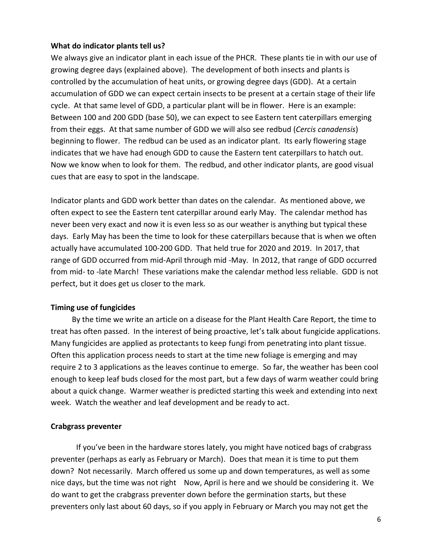#### **What do indicator plants tell us?**

We always give an indicator plant in each issue of the PHCR. These plants tie in with our use of growing degree days (explained above). The development of both insects and plants is controlled by the accumulation of heat units, or growing degree days (GDD). At a certain accumulation of GDD we can expect certain insects to be present at a certain stage of their life cycle. At that same level of GDD, a particular plant will be in flower. Here is an example: Between 100 and 200 GDD (base 50), we can expect to see Eastern tent caterpillars emerging from their eggs. At that same number of GDD we will also see redbud (*Cercis canadensis*) beginning to flower. The redbud can be used as an indicator plant. Its early flowering stage indicates that we have had enough GDD to cause the Eastern tent caterpillars to hatch out. Now we know when to look for them. The redbud, and other indicator plants, are good visual cues that are easy to spot in the landscape.

Indicator plants and GDD work better than dates on the calendar. As mentioned above, we often expect to see the Eastern tent caterpillar around early May. The calendar method has never been very exact and now it is even less so as our weather is anything but typical these days. Early May has been the time to look for these caterpillars because that is when we often actually have accumulated 100-200 GDD. That held true for 2020 and 2019. In 2017, that range of GDD occurred from mid-April through mid -May. In 2012, that range of GDD occurred from mid- to -late March! These variations make the calendar method less reliable. GDD is not perfect, but it does get us closer to the mark.

#### **Timing use of fungicides**

 By the time we write an article on a disease for the Plant Health Care Report, the time to treat has often passed. In the interest of being proactive, let's talk about fungicide applications. Many fungicides are applied as protectants to keep fungi from penetrating into plant tissue. Often this application process needs to start at the time new foliage is emerging and may require 2 to 3 applications as the leaves continue to emerge. So far, the weather has been cool enough to keep leaf buds closed for the most part, but a few days of warm weather could bring about a quick change. Warmer weather is predicted starting this week and extending into next week. Watch the weather and leaf development and be ready to act.

#### **Crabgrass preventer**

If you've been in the hardware stores lately, you might have noticed bags of crabgrass preventer (perhaps as early as February or March). Does that mean it is time to put them down? Not necessarily. March offered us some up and down temperatures, as well as some nice days, but the time was not right Now, April is here and we should be considering it. We do want to get the crabgrass preventer down before the germination starts, but these preventers only last about 60 days, so if you apply in February or March you may not get the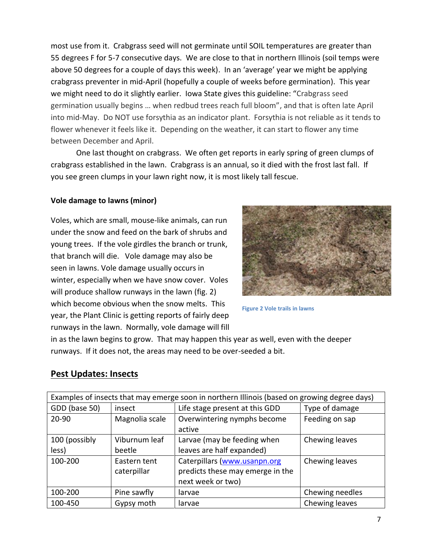most use from it. Crabgrass seed will not germinate until SOIL temperatures are greater than 55 degrees F for 5-7 consecutive days. We are close to that in northern Illinois (soil temps were above 50 degrees for a couple of days this week). In an 'average' year we might be applying crabgrass preventer in mid-April (hopefully a couple of weeks before germination). This year we might need to do it slightly earlier. Iowa State gives this guideline: "Crabgrass seed germination usually begins … when redbud trees reach full bloom", and that is often late April into mid-May. Do NOT use forsythia as an indicator plant. Forsythia is not reliable as it tends to flower whenever it feels like it. Depending on the weather, it can start to flower any time between December and April.

One last thought on crabgrass. We often get reports in early spring of green clumps of crabgrass established in the lawn. Crabgrass is an annual, so it died with the frost last fall. If you see green clumps in your lawn right now, it is most likely tall fescue.

#### **Vole damage to lawns (minor)**

Voles, which are small, mouse-like animals, can run under the snow and feed on the bark of shrubs and young trees. If the vole girdles the branch or trunk, that branch will die. Vole damage may also be seen in lawns. Vole damage usually occurs in winter, especially when we have snow cover. Voles will produce shallow runways in the lawn (fig. 2) which become obvious when the snow melts. This year, the Plant Clinic is getting reports of fairly deep runways in the lawn. Normally, vole damage will fill



**Figure 2 Vole trails in lawns**

in as the lawn begins to grow. That may happen this year as well, even with the deeper runways. If it does not, the areas may need to be over-seeded a bit.

#### **Pest Updates: Insects**

| Examples of insects that may emerge soon in northern Illinois (based on growing degree days) |                |                                  |                 |
|----------------------------------------------------------------------------------------------|----------------|----------------------------------|-----------------|
| GDD (base 50)                                                                                | insect         | Life stage present at this GDD   | Type of damage  |
| 20-90                                                                                        | Magnolia scale | Overwintering nymphs become      | Feeding on sap  |
|                                                                                              |                | active                           |                 |
| 100 (possibly                                                                                | Viburnum leaf  | Larvae (may be feeding when      | Chewing leaves  |
| less)                                                                                        | beetle         | leaves are half expanded)        |                 |
| 100-200                                                                                      | Eastern tent   | Caterpillars (www.usanpn.org     | Chewing leaves  |
|                                                                                              | caterpillar    | predicts these may emerge in the |                 |
|                                                                                              |                | next week or two)                |                 |
| 100-200                                                                                      | Pine sawfly    | larvae                           | Chewing needles |
| 100-450                                                                                      | Gypsy moth     | larvae                           | Chewing leaves  |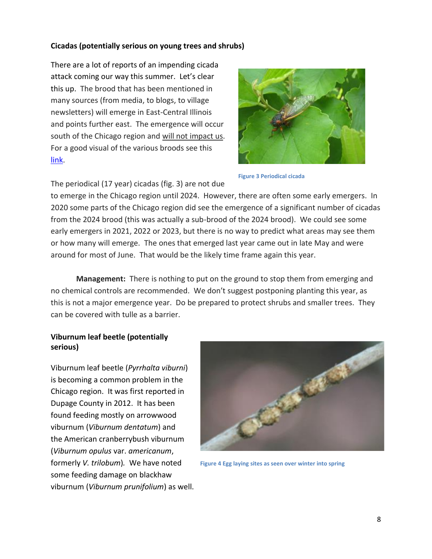#### **Cicadas (potentially serious on young trees and shrubs)**

There are a lot of reports of an impending cicada attack coming our way this summer. Let's clear this up. The brood that has been mentioned in many sources (from media, to blogs, to village newsletters) will emerge in East-Central Illinois and points further east. The emergence will occur south of the Chicago region and will not impact us. For a good visual of the various broods see this [link.](https://www.google.com/url?sa=t&rct=j&q=&esrc=s&source=web&cd=&ved=2ahUKEwjoieeEjczvAhUbOs0KHSWhAn4QFjAKegQIAxAD&url=https%3A%2F%2Fwww.fs.fed.us%2Fforesthealth%2Fdocs%2FCicadaBroodStaticMap.pdf&usg=AOvVaw2G2Mg2-4SE6sfvk2ZbvnOL)



**Figure 3 Periodical cicada**

The periodical (17 year) cicadas (fig. 3) are not due

to emerge in the Chicago region until 2024. However, there are often some early emergers. In 2020 some parts of the Chicago region did see the emergence of a significant number of cicadas from the 2024 brood (this was actually a sub-brood of the 2024 brood). We could see some early emergers in 2021, 2022 or 2023, but there is no way to predict what areas may see them or how many will emerge. The ones that emerged last year came out in late May and were around for most of June. That would be the likely time frame again this year.

**Management:** There is nothing to put on the ground to stop them from emerging and no chemical controls are recommended. We don't suggest postponing planting this year, as this is not a major emergence year. Do be prepared to protect shrubs and smaller trees. They can be covered with tulle as a barrier.

#### **Viburnum leaf beetle (potentially serious)**

Viburnum leaf beetle (*Pyrrhalta viburni*) is becoming a common problem in the Chicago region. It was first reported in Dupage County in 2012. It has been found feeding mostly on arrowwood viburnum (*Viburnum dentatum*) and the American cranberrybush viburnum (*Viburnum opulus* var. *americanum*, formerly *V. trilobum*)*.* We have noted some feeding damage on blackhaw viburnum (*Viburnum prunifolium*) as well.



**Figure 4 Egg laying sites as seen over winter into spring**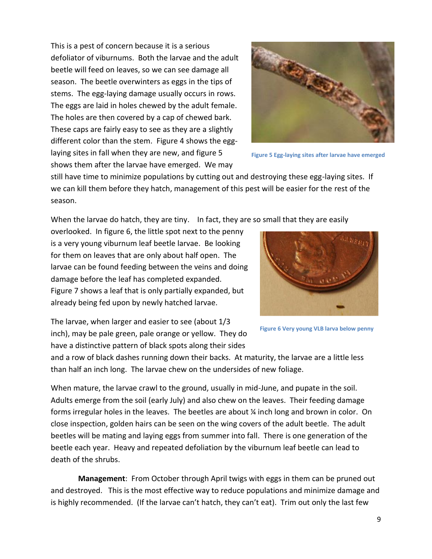This is a pest of concern because it is a serious defoliator of viburnums. Both the larvae and the adult beetle will feed on leaves, so we can see damage all season. The beetle overwinters as eggs in the tips of stems. The egg-laying damage usually occurs in rows. The eggs are laid in holes chewed by the adult female. The holes are then covered by a cap of chewed bark. These caps are fairly easy to see as they are a slightly different color than the stem. Figure 4 shows the egglaying sites in fall when they are new, and figure 5 shows them after the larvae have emerged. We may



**Figure 5 Egg-laying sites after larvae have emerged**

still have time to minimize populations by cutting out and destroying these egg-laying sites. If we can kill them before they hatch, management of this pest will be easier for the rest of the season.

When the larvae do hatch, they are tiny. In fact, they are so small that they are easily

overlooked. In figure 6, the little spot next to the penny is a very young viburnum leaf beetle larvae. Be looking for them on leaves that are only about half open. The larvae can be found feeding between the veins and doing damage before the leaf has completed expanded. Figure 7 shows a leaf that is only partially expanded, but already being fed upon by newly hatched larvae.



**Figure 6 Very young VLB larva below penny**

The larvae, when larger and easier to see (about 1/3 inch), may be pale green, pale orange or yellow. They do have a distinctive pattern of black spots along their sides

and a row of black dashes running down their backs. At maturity, the larvae are a little less than half an inch long. The larvae chew on the undersides of new foliage.

When mature, the larvae crawl to the ground, usually in mid-June, and pupate in the soil. Adults emerge from the soil (early July) and also chew on the leaves. Their feeding damage forms irregular holes in the leaves. The beetles are about ¼ inch long and brown in color. On close inspection, golden hairs can be seen on the wing covers of the adult beetle. The adult beetles will be mating and laying eggs from summer into fall. There is one generation of the beetle each year. Heavy and repeated defoliation by the viburnum leaf beetle can lead to death of the shrubs.

**Management**: From October through April twigs with eggs in them can be pruned out and destroyed. This is the most effective way to reduce populations and minimize damage and is highly recommended. (If the larvae can't hatch, they can't eat). Trim out only the last few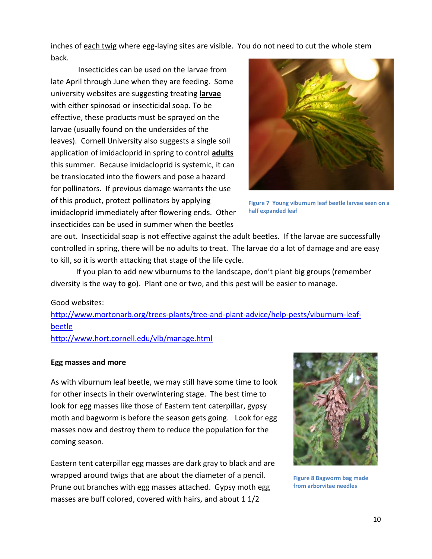inches of each twig where egg-laying sites are visible. You do not need to cut the whole stem back.

Insecticides can be used on the larvae from late April through June when they are feeding. Some university websites are suggesting treating **larvae** with either spinosad or insecticidal soap. To be effective, these products must be sprayed on the larvae (usually found on the undersides of the leaves). Cornell University also suggests a single soil application of imidacloprid in spring to control **adults** this summer. Because imidacloprid is systemic, it can be translocated into the flowers and pose a hazard for pollinators. If previous damage warrants the use of this product, protect pollinators by applying imidacloprid immediately after flowering ends. Other insecticides can be used in summer when the beetles



**Figure 7 Young viburnum leaf beetle larvae seen on a half expanded leaf**

are out. Insecticidal soap is not effective against the adult beetles. If the larvae are successfully controlled in spring, there will be no adults to treat. The larvae do a lot of damage and are easy to kill, so it is worth attacking that stage of the life cycle.

If you plan to add new viburnums to the landscape, don't plant big groups (remember diversity is the way to go). Plant one or two, and this pest will be easier to manage.

Good websites:

[http://www.mortonarb.org/trees-plants/tree-and-plant-advice/help-pests/viburnum-leaf](http://www.mortonarb.org/trees-plants/tree-and-plant-advice/help-pests/viburnum-leaf-beetle)[beetle](http://www.mortonarb.org/trees-plants/tree-and-plant-advice/help-pests/viburnum-leaf-beetle)

<http://www.hort.cornell.edu/vlb/manage.html>

#### **Egg masses and more**

As with viburnum leaf beetle, we may still have some time to look for other insects in their overwintering stage. The best time to look for egg masses like those of Eastern tent caterpillar, gypsy moth and bagworm is before the season gets going. Look for egg masses now and destroy them to reduce the population for the coming season.

Eastern tent caterpillar egg masses are dark gray to black and are wrapped around twigs that are about the diameter of a pencil. Prune out branches with egg masses attached. Gypsy moth egg masses are buff colored, covered with hairs, and about 1 1/2



**Figure 8 Bagworm bag made from arborvitae needles**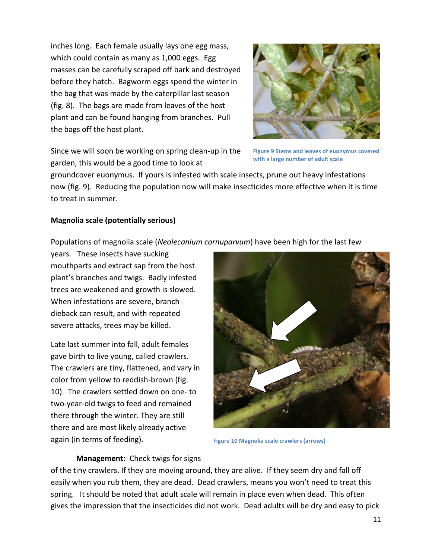inches long. Each female usually lays one egg mass, which could contain as many as 1,000 eggs. Egg masses can be carefully scraped off bark and destroyed before they hatch. Bagworm eggs spend the winter in the bag that was made by the caterpillar last season (fig. 8). The bags are made from leaves of the host plant and can be found hanging from branches. Pull the bags off the host plant.



Since we will soon be working on spring clean-up in the garden, this would be a good time to look at

**Figure 9 Stems and leaves of euonymus covered with a large number of adult scale**

groundcover euonymus. If yours is infested with scale insects, prune out heavy infestations now (fig. 9). Reducing the population now will make insecticides more effective when it is time to treat in summer.

#### **Magnolia scale (potentially serious)**

Populations of magnolia scale (*Neolecanium cornuparvum*) have been high for the last few

years. These insects have sucking mouthparts and extract sap from the host plant's branches and twigs. Badly infested trees are weakened and growth is slowed. When infestations are severe, branch dieback can result, and with repeated severe attacks, trees may be killed.

Late last summer into fall, adult females gave birth to live young, called crawlers. The crawlers are tiny, flattened, and vary in color from yellow to reddish-brown (fig. 10). The crawlers settled down on one- to two-year-old twigs to feed and remained there through the winter. They are still there and are most likely already active again (in terms of feeding).



**Figure 10 Magnolia scale crawlers (arrows)**

#### **Management:** Check twigs for signs

of the tiny crawlers. If they are moving around, they are alive. If they seem dry and fall off easily when you rub them, they are dead. Dead crawlers, means you won't need to treat this spring. It should be noted that adult scale will remain in place even when dead. This often gives the impression that the insecticides did not work. Dead adults will be dry and easy to pick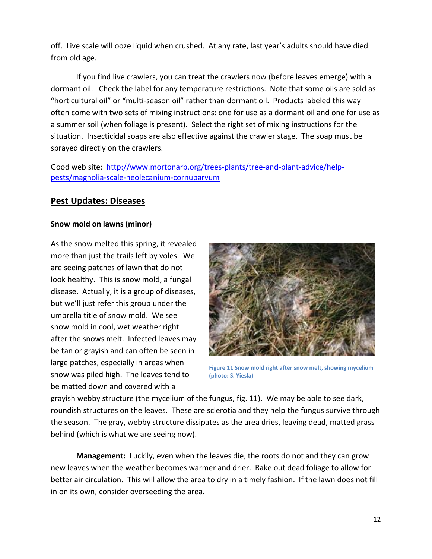off. Live scale will ooze liquid when crushed. At any rate, last year's adults should have died from old age.

If you find live crawlers, you can treat the crawlers now (before leaves emerge) with a dormant oil. Check the label for any temperature restrictions. Note that some oils are sold as "horticultural oil" or "multi-season oil" rather than dormant oil. Products labeled this way often come with two sets of mixing instructions: one for use as a dormant oil and one for use as a summer soil (when foliage is present). Select the right set of mixing instructions for the situation. Insecticidal soaps are also effective against the crawler stage. The soap must be sprayed directly on the crawlers.

Good web site: [http://www.mortonarb.org/trees-plants/tree-and-plant-advice/help](http://www.mortonarb.org/trees-plants/tree-and-plant-advice/help-pests/magnolia-scale-neolecanium-cornuparvum)[pests/magnolia-scale-neolecanium-cornuparvum](http://www.mortonarb.org/trees-plants/tree-and-plant-advice/help-pests/magnolia-scale-neolecanium-cornuparvum)

#### **Pest Updates: Diseases**

#### **Snow mold on lawns (minor)**

As the snow melted this spring, it revealed more than just the trails left by voles. We are seeing patches of lawn that do not look healthy. This is snow mold, a fungal disease. Actually, it is a group of diseases, but we'll just refer this group under the umbrella title of snow mold. We see snow mold in cool, wet weather right after the snows melt. Infected leaves may be tan or grayish and can often be seen in large patches, especially in areas when snow was piled high. The leaves tend to be matted down and covered with a



**Figure 11 Snow mold right after snow melt, showing mycelium (photo: S. Yiesla)**

grayish webby structure (the mycelium of the fungus, fig. 11). We may be able to see dark, roundish structures on the leaves. These are sclerotia and they help the fungus survive through the season. The gray, webby structure dissipates as the area dries, leaving dead, matted grass behind (which is what we are seeing now).

**Management:** Luckily, even when the leaves die, the roots do not and they can grow new leaves when the weather becomes warmer and drier. Rake out dead foliage to allow for better air circulation. This will allow the area to dry in a timely fashion. If the lawn does not fill in on its own, consider overseeding the area.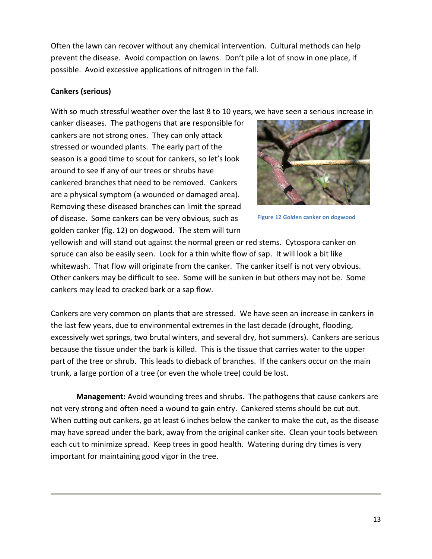Often the lawn can recover without any chemical intervention. Cultural methods can help prevent the disease. Avoid compaction on lawns. Don't pile a lot of snow in one place, if possible. Avoid excessive applications of nitrogen in the fall.

#### **Cankers (serious)**

With so much stressful weather over the last 8 to 10 years, we have seen a serious increase in

canker diseases. The pathogens that are responsible for cankers are not strong ones. They can only attack stressed or wounded plants. The early part of the season is a good time to scout for cankers, so let's look around to see if any of our trees or shrubs have cankered branches that need to be removed. Cankers are a physical symptom (a wounded or damaged area). Removing these diseased branches can limit the spread of disease. Some cankers can be very obvious, such as golden canker (fig. 12) on dogwood. The stem will turn



**Figure 12 Golden canker on dogwood**

yellowish and will stand out against the normal green or red stems. Cytospora canker on spruce can also be easily seen. Look for a thin white flow of sap. It will look a bit like whitewash. That flow will originate from the canker. The canker itself is not very obvious. Other cankers may be difficult to see. Some will be sunken in but others may not be. Some cankers may lead to cracked bark or a sap flow.

Cankers are very common on plants that are stressed. We have seen an increase in cankers in the last few years, due to environmental extremes in the last decade (drought, flooding, excessively wet springs, two brutal winters, and several dry, hot summers). Cankers are serious because the tissue under the bark is killed. This is the tissue that carries water to the upper part of the tree or shrub. This leads to dieback of branches. If the cankers occur on the main trunk, a large portion of a tree (or even the whole tree) could be lost.

**Management:** Avoid wounding trees and shrubs. The pathogens that cause cankers are not very strong and often need a wound to gain entry. Cankered stems should be cut out. When cutting out cankers, go at least 6 inches below the canker to make the cut, as the disease may have spread under the bark, away from the original canker site. Clean your tools between each cut to minimize spread. Keep trees in good health. Watering during dry times is very important for maintaining good vigor in the tree.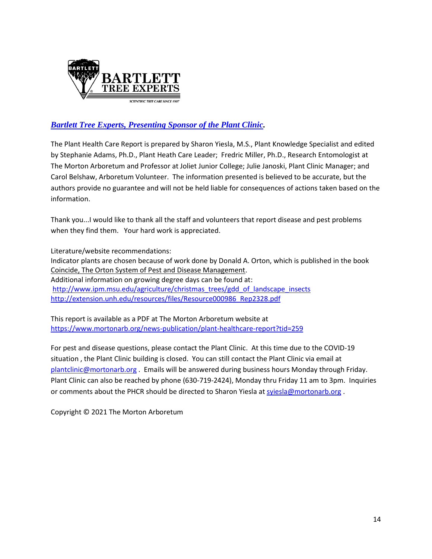

#### *[Bartlett Tree Experts, Presenting Sponsor of the Plant Clinic.](https://www.bartlett.com/)*

The Plant Health Care Report is prepared by Sharon Yiesla, M.S., Plant Knowledge Specialist and edited by Stephanie Adams, Ph.D., Plant Heath Care Leader; Fredric Miller, Ph.D., Research Entomologist at The Morton Arboretum and Professor at Joliet Junior College; Julie Janoski, Plant Clinic Manager; and Carol Belshaw, Arboretum Volunteer. The information presented is believed to be accurate, but the authors provide no guarantee and will not be held liable for consequences of actions taken based on the information.

Thank you...I would like to thank all the staff and volunteers that report disease and pest problems when they find them. Your hard work is appreciated.

Literature/website recommendations: Indicator plants are chosen because of work done by Donald A. Orton, which is published in the book Coincide, The Orton System of Pest and Disease Management. Additional information on growing degree days can be found at: [http://www.ipm.msu.edu/agriculture/christmas\\_trees/gdd\\_of\\_landscape\\_insects](http://www.ipm.msu.edu/agriculture/christmas_trees/gdd_of_landscape_insects) [http://extension.unh.edu/resources/files/Resource000986\\_Rep2328.pdf](http://extension.unh.edu/resources/files/Resource000986_Rep2328.pdf)

This report is available as a PDF at The Morton Arboretum website at <https://www.mortonarb.org/news-publication/plant-healthcare-report?tid=259>

For pest and disease questions, please contact the Plant Clinic. At this time due to the COVID-19 situation , the Plant Clinic building is closed. You can still contact the Plant Clinic via email at [plantclinic@mortonarb.org](mailto:plantclinic@mortonarb.org) . Emails will be answered during business hours Monday through Friday. Plant Clinic can also be reached by phone (630-719-2424), Monday thru Friday 11 am to 3pm. Inquiries or comments about the PHCR should be directed to Sharon Yiesla at [syiesla@mortonarb.org](mailto:syiesla@mortonarb.org).

Copyright © 2021 The Morton Arboretum